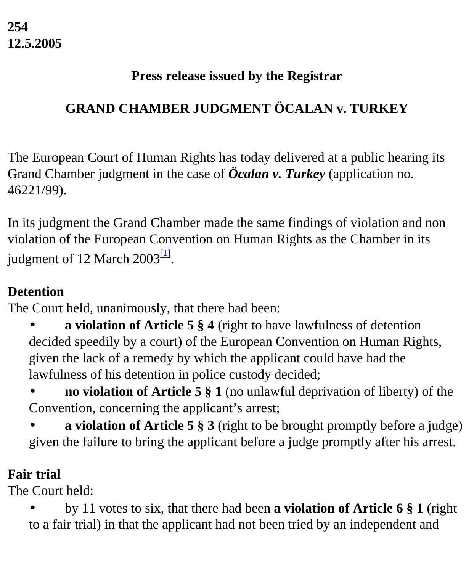#### **Press release issued by the Registrar**

# **GRAND CHAMBER JUDGMENT ÖCALAN v. TURKEY**

The European Court of Human Rights has today delivered at a public hearing its Grand Chamber judgment in the case of *Öcalan v. Turkey* (application no. 46221/99).

In its judgment the Grand Chamber made the same findings of violation and non violation of the European Convention on Human Rights as the Chamber in its judgment of 12 March  $2003^{11}$ .

# <span id="page-0-0"></span>**Detention**

The Court held, unanimously, that there had been:

- **a violation of Article 5 § 4** (right to have lawfulness of detention decided speedily by a court) of the European Convention on Human Rights, given the lack of a remedy by which the applicant could have had the lawfulness of his detention in police custody decided;
- **no violation of Article 5**  $\S$  **1** (no unlawful deprivation of liberty) of the Convention, concerning the applicant's arrest;
- **a violation of Article 5 § 3** (right to be brought promptly before a judge) given the failure to bring the applicant before a judge promptly after his arrest.

### **Fair trial**

The Court held:

• by 11 votes to six, that there had been **a violation of Article 6 § 1** (right to a fair trial) in that the applicant had not been tried by an independent and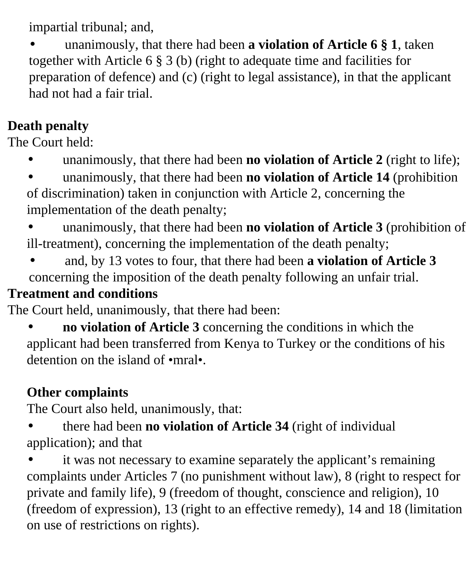impartial tribunal; and,

• unanimously, that there had been **a violation of Article 6 § 1**, taken together with Article 6 § 3 (b) (right to adequate time and facilities for preparation of defence) and (c) (right to legal assistance), in that the applicant had not had a fair trial.

# **Death penalty**

The Court held:

• unanimously, that there had been **no violation of Article 2** (right to life);

• unanimously, that there had been **no violation of Article 14** (prohibition of discrimination) taken in conjunction with Article 2, concerning the implementation of the death penalty;

• unanimously, that there had been **no violation of Article 3** (prohibition of ill-treatment), concerning the implementation of the death penalty;

• and, by 13 votes to four, that there had been **a violation of Article 3** concerning the imposition of the death penalty following an unfair trial.

# **Treatment and conditions**

The Court held, unanimously, that there had been:

**no violation of Article 3** concerning the conditions in which the applicant had been transferred from Kenya to Turkey or the conditions of his detention on the island of •mral•.

# **Other complaints**

The Court also held, unanimously, that:

• there had been **no violation of Article 34** (right of individual application); and that

• it was not necessary to examine separately the applicant's remaining complaints under Articles 7 (no punishment without law), 8 (right to respect for private and family life), 9 (freedom of thought, conscience and religion), 10 (freedom of expression), 13 (right to an effective remedy), 14 and 18 (limitation on use of restrictions on rights).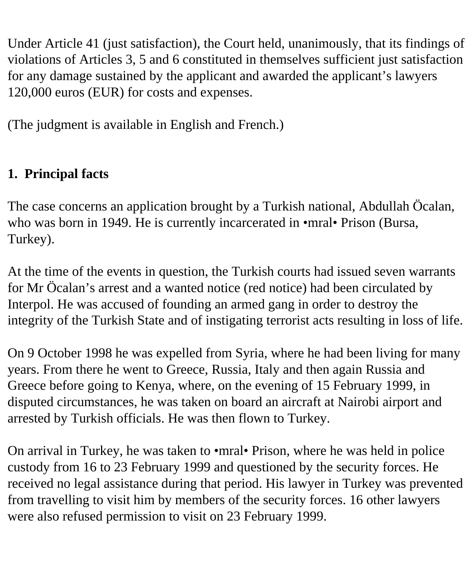Under Article 41 (just satisfaction), the Court held, unanimously, that its findings of violations of Articles 3, 5 and 6 constituted in themselves sufficient just satisfaction for any damage sustained by the applicant and awarded the applicant's lawyers 120,000 euros (EUR) for costs and expenses.

(The judgment is available in English and French.)

# **1. Principal facts**

The case concerns an application brought by a Turkish national, Abdullah Öcalan, who was born in 1949. He is currently incarcerated in •mral• Prison (Bursa, Turkey).

At the time of the events in question, the Turkish courts had issued seven warrants for Mr Öcalan's arrest and a wanted notice (red notice) had been circulated by Interpol. He was accused of founding an armed gang in order to destroy the integrity of the Turkish State and of instigating terrorist acts resulting in loss of life.

On 9 October 1998 he was expelled from Syria, where he had been living for many years. From there he went to Greece, Russia, Italy and then again Russia and Greece before going to Kenya, where, on the evening of 15 February 1999, in disputed circumstances, he was taken on board an aircraft at Nairobi airport and arrested by Turkish officials. He was then flown to Turkey.

On arrival in Turkey, he was taken to •mral• Prison, where he was held in police custody from 16 to 23 February 1999 and questioned by the security forces. He received no legal assistance during that period. His lawyer in Turkey was prevented from travelling to visit him by members of the security forces. 16 other lawyers were also refused permission to visit on 23 February 1999.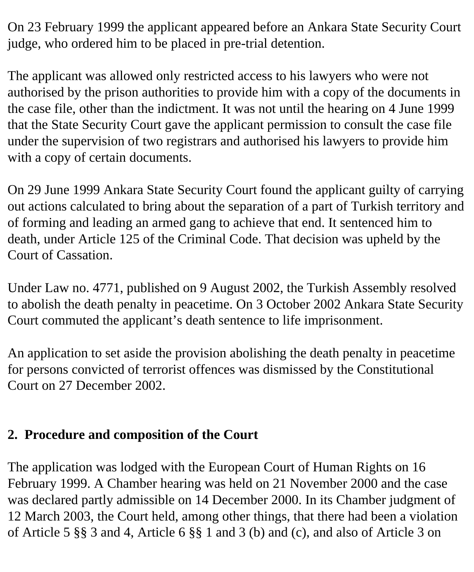On 23 February 1999 the applicant appeared before an Ankara State Security Court judge, who ordered him to be placed in pre-trial detention.

The applicant was allowed only restricted access to his lawyers who were not authorised by the prison authorities to provide him with a copy of the documents in the case file, other than the indictment. It was not until the hearing on 4 June 1999 that the State Security Court gave the applicant permission to consult the case file under the supervision of two registrars and authorised his lawyers to provide him with a copy of certain documents.

On 29 June 1999 Ankara State Security Court found the applicant guilty of carrying out actions calculated to bring about the separation of a part of Turkish territory and of forming and leading an armed gang to achieve that end. It sentenced him to death, under Article 125 of the Criminal Code. That decision was upheld by the Court of Cassation.

Under Law no. 4771, published on 9 August 2002, the Turkish Assembly resolved to abolish the death penalty in peacetime. On 3 October 2002 Ankara State Security Court commuted the applicant's death sentence to life imprisonment.

An application to set aside the provision abolishing the death penalty in peacetime for persons convicted of terrorist offences was dismissed by the Constitutional Court on 27 December 2002.

### **2. Procedure and composition of the Court**

The application was lodged with the European Court of Human Rights on 16 February 1999. A Chamber hearing was held on 21 November 2000 and the case was declared partly admissible on 14 December 2000. In its Chamber judgment of 12 March 2003, the Court held, among other things, that there had been a violation of Article 5 §§ 3 and 4, Article 6 §§ 1 and 3 (b) and (c), and also of Article 3 on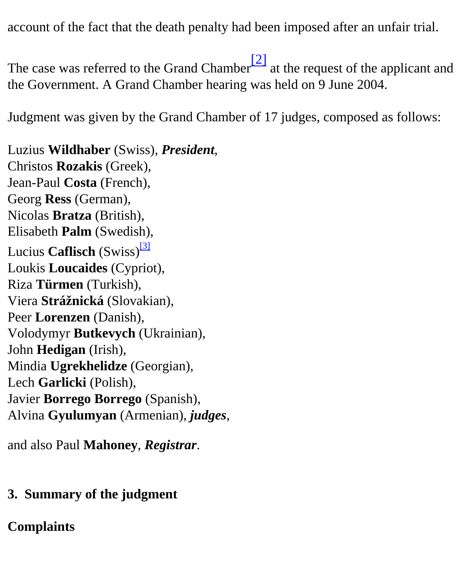account of the fact that the death penalty had been imposed after an unfair trial.

<span id="page-4-0"></span>The case was referred to the Grand Chamber<sup>[2]</sup> at the request of the applicant and the Government. A Grand Chamber hearing was held on 9 June 2004.

Judgment was given by the Grand Chamber of 17 judges, composed as follows:

<span id="page-4-1"></span>Luzius **Wildhaber** (Swiss), *President*, Christos **Rozakis** (Greek), Jean-Paul **Costa** (French), Georg **Ress** (German), Nicolas **Bratza** (British), Elisabeth **Palm** (Swedish), Lucius **Caflisch** (Swiss)<sup>[\[3\]](#page-12-2)</sup> Loukis **Loucaides** (Cypriot), Riza **Türmen** (Turkish), Viera **Strážnická** (Slovakian), Peer **Lorenzen** (Danish), Volodymyr **Butkevych** (Ukrainian), John **Hedigan** (Irish), Mindia **Ugrekhelidze** (Georgian), Lech **Garlicki** (Polish), Javier **Borrego Borrego** (Spanish), Alvina **Gyulumyan** (Armenian), *judges*,

and also Paul **Mahoney**, *Registrar*.

#### **3. Summary of the judgment**

#### **Complaints**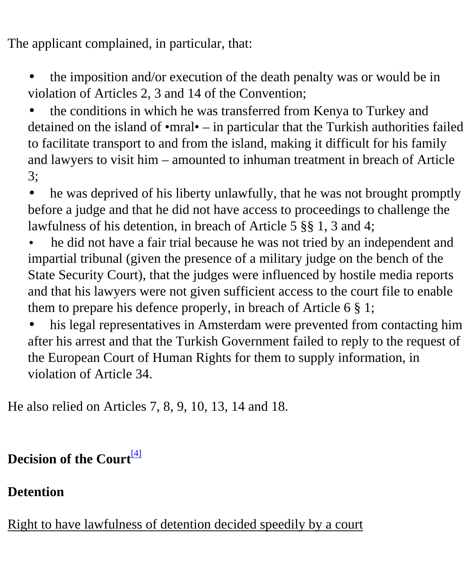The applicant complained, in particular, that:

• the imposition and/or execution of the death penalty was or would be in violation of Articles 2, 3 and 14 of the Convention;

• the conditions in which he was transferred from Kenya to Turkey and detained on the island of •mral• – in particular that the Turkish authorities failed to facilitate transport to and from the island, making it difficult for his family and lawyers to visit him – amounted to inhuman treatment in breach of Article 3;

• he was deprived of his liberty unlawfully, that he was not brought promptly before a judge and that he did not have access to proceedings to challenge the lawfulness of his detention, in breach of Article 5 §§ 1, 3 and 4;

• he did not have a fair trial because he was not tried by an independent and impartial tribunal (given the presence of a military judge on the bench of the State Security Court), that the judges were influenced by hostile media reports and that his lawyers were not given sufficient access to the court file to enable them to prepare his defence properly, in breach of Article 6 § 1;

his legal representatives in Amsterdam were prevented from contacting him after his arrest and that the Turkish Government failed to reply to the request of the European Court of Human Rights for them to supply information, in violation of Article 34.

He also relied on Articles 7, 8, 9, 10, 13, 14 and 18.

<span id="page-5-0"></span>**Decision of the Court**<sup>[\[4\]](#page-12-3)</sup>

#### **Detention**

Right to have lawfulness of detention decided speedily by a court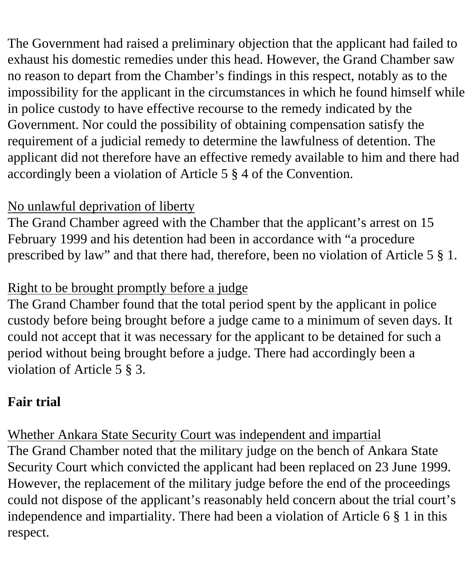The Government had raised a preliminary objection that the applicant had failed to exhaust his domestic remedies under this head. However, the Grand Chamber saw no reason to depart from the Chamber's findings in this respect, notably as to the impossibility for the applicant in the circumstances in which he found himself while in police custody to have effective recourse to the remedy indicated by the Government. Nor could the possibility of obtaining compensation satisfy the requirement of a judicial remedy to determine the lawfulness of detention. The applicant did not therefore have an effective remedy available to him and there had accordingly been a violation of Article 5 § 4 of the Convention.

### No unlawful deprivation of liberty

The Grand Chamber agreed with the Chamber that the applicant's arrest on 15 February 1999 and his detention had been in accordance with "a procedure prescribed by law" and that there had, therefore, been no violation of Article 5 § 1.

### Right to be brought promptly before a judge

The Grand Chamber found that the total period spent by the applicant in police custody before being brought before a judge came to a minimum of seven days. It could not accept that it was necessary for the applicant to be detained for such a period without being brought before a judge. There had accordingly been a violation of Article 5 § 3.

# **Fair trial**

Whether Ankara State Security Court was independent and impartial

The Grand Chamber noted that the military judge on the bench of Ankara State Security Court which convicted the applicant had been replaced on 23 June 1999. However, the replacement of the military judge before the end of the proceedings could not dispose of the applicant's reasonably held concern about the trial court's independence and impartiality. There had been a violation of Article 6 § 1 in this respect.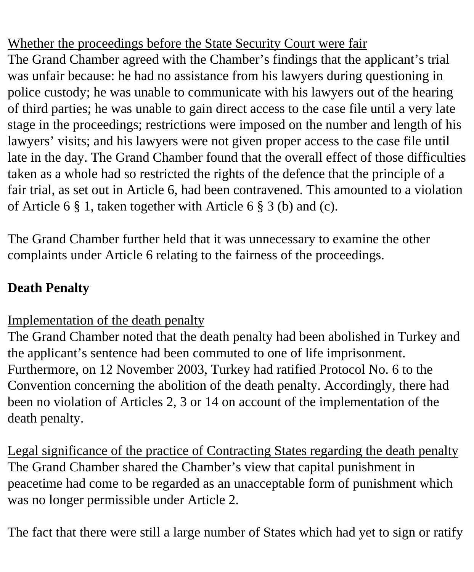Whether the proceedings before the State Security Court were fair

The Grand Chamber agreed with the Chamber's findings that the applicant's trial was unfair because: he had no assistance from his lawyers during questioning in police custody; he was unable to communicate with his lawyers out of the hearing of third parties; he was unable to gain direct access to the case file until a very late stage in the proceedings; restrictions were imposed on the number and length of his lawyers' visits; and his lawyers were not given proper access to the case file until late in the day. The Grand Chamber found that the overall effect of those difficulties taken as a whole had so restricted the rights of the defence that the principle of a fair trial, as set out in Article 6, had been contravened. This amounted to a violation of Article 6 § 1, taken together with Article 6 § 3 (b) and (c).

The Grand Chamber further held that it was unnecessary to examine the other complaints under Article 6 relating to the fairness of the proceedings.

# **Death Penalty**

Implementation of the death penalty

The Grand Chamber noted that the death penalty had been abolished in Turkey and the applicant's sentence had been commuted to one of life imprisonment. Furthermore, on 12 November 2003, Turkey had ratified Protocol No. 6 to the Convention concerning the abolition of the death penalty. Accordingly, there had been no violation of Articles 2, 3 or 14 on account of the implementation of the death penalty.

Legal significance of the practice of Contracting States regarding the death penalty The Grand Chamber shared the Chamber's view that capital punishment in peacetime had come to be regarded as an unacceptable form of punishment which was no longer permissible under Article 2.

The fact that there were still a large number of States which had yet to sign or ratify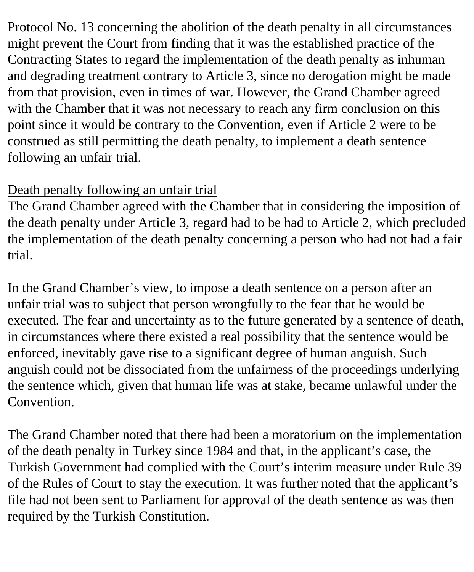Protocol No. 13 concerning the abolition of the death penalty in all circumstances might prevent the Court from finding that it was the established practice of the Contracting States to regard the implementation of the death penalty as inhuman and degrading treatment contrary to Article 3, since no derogation might be made from that provision, even in times of war. However, the Grand Chamber agreed with the Chamber that it was not necessary to reach any firm conclusion on this point since it would be contrary to the Convention, even if Article 2 were to be construed as still permitting the death penalty, to implement a death sentence following an unfair trial.

### Death penalty following an unfair trial

The Grand Chamber agreed with the Chamber that in considering the imposition of the death penalty under Article 3, regard had to be had to Article 2, which precluded the implementation of the death penalty concerning a person who had not had a fair trial.

In the Grand Chamber's view, to impose a death sentence on a person after an unfair trial was to subject that person wrongfully to the fear that he would be executed. The fear and uncertainty as to the future generated by a sentence of death, in circumstances where there existed a real possibility that the sentence would be enforced, inevitably gave rise to a significant degree of human anguish. Such anguish could not be dissociated from the unfairness of the proceedings underlying the sentence which, given that human life was at stake, became unlawful under the Convention.

The Grand Chamber noted that there had been a moratorium on the implementation of the death penalty in Turkey since 1984 and that, in the applicant's case, the Turkish Government had complied with the Court's interim measure under Rule 39 of the Rules of Court to stay the execution. It was further noted that the applicant's file had not been sent to Parliament for approval of the death sentence as was then required by the Turkish Constitution.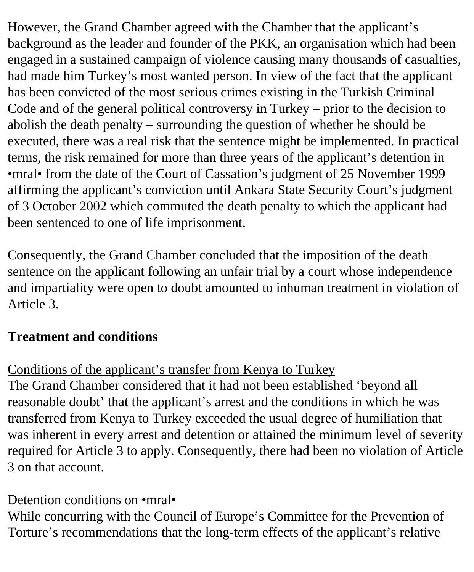However, the Grand Chamber agreed with the Chamber that the applicant's background as the leader and founder of the PKK, an organisation which had been engaged in a sustained campaign of violence causing many thousands of casualties, had made him Turkey's most wanted person. In view of the fact that the applicant has been convicted of the most serious crimes existing in the Turkish Criminal Code and of the general political controversy in Turkey – prior to the decision to abolish the death penalty – surrounding the question of whether he should be executed, there was a real risk that the sentence might be implemented. In practical terms, the risk remained for more than three years of the applicant's detention in •mral• from the date of the Court of Cassation's judgment of 25 November 1999 affirming the applicant's conviction until Ankara State Security Court's judgment of 3 October 2002 which commuted the death penalty to which the applicant had been sentenced to one of life imprisonment.

Consequently, the Grand Chamber concluded that the imposition of the death sentence on the applicant following an unfair trial by a court whose independence and impartiality were open to doubt amounted to inhuman treatment in violation of Article 3.

# **Treatment and conditions**

### Conditions of the applicant's transfer from Kenya to Turkey

The Grand Chamber considered that it had not been established 'beyond all reasonable doubt' that the applicant's arrest and the conditions in which he was transferred from Kenya to Turkey exceeded the usual degree of humiliation that was inherent in every arrest and detention or attained the minimum level of severity required for Article 3 to apply. Consequently, there had been no violation of Article 3 on that account.

#### Detention conditions on •mral•

While concurring with the Council of Europe's Committee for the Prevention of Torture's recommendations that the long-term effects of the applicant's relative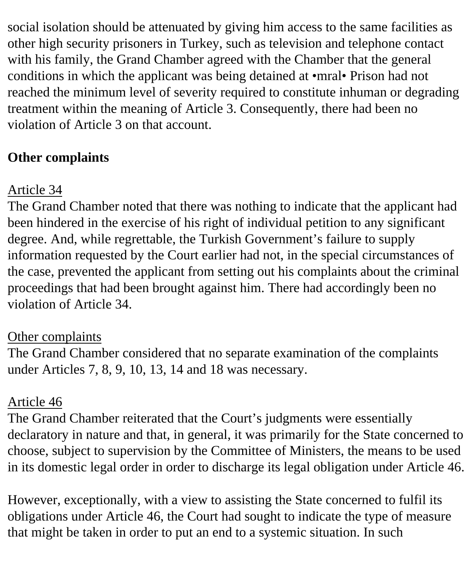social isolation should be attenuated by giving him access to the same facilities as other high security prisoners in Turkey, such as television and telephone contact with his family, the Grand Chamber agreed with the Chamber that the general conditions in which the applicant was being detained at •mral• Prison had not reached the minimum level of severity required to constitute inhuman or degrading treatment within the meaning of Article 3. Consequently, there had been no violation of Article 3 on that account.

# **Other complaints**

# Article 34

The Grand Chamber noted that there was nothing to indicate that the applicant had been hindered in the exercise of his right of individual petition to any significant degree. And, while regrettable, the Turkish Government's failure to supply information requested by the Court earlier had not, in the special circumstances of the case, prevented the applicant from setting out his complaints about the criminal proceedings that had been brought against him. There had accordingly been no violation of Article 34.

### Other complaints

The Grand Chamber considered that no separate examination of the complaints under Articles 7, 8, 9, 10, 13, 14 and 18 was necessary.

### Article 46

The Grand Chamber reiterated that the Court's judgments were essentially declaratory in nature and that, in general, it was primarily for the State concerned to choose, subject to supervision by the Committee of Ministers, the means to be used in its domestic legal order in order to discharge its legal obligation under Article 46.

However, exceptionally, with a view to assisting the State concerned to fulfil its obligations under Article 46, the Court had sought to indicate the type of measure that might be taken in order to put an end to a systemic situation. In such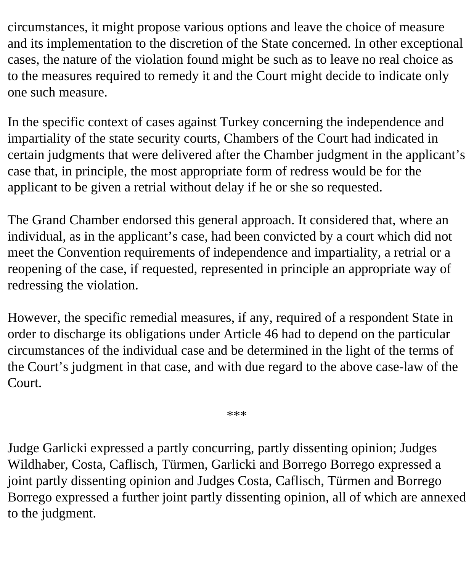circumstances, it might propose various options and leave the choice of measure and its implementation to the discretion of the State concerned. In other exceptional cases, the nature of the violation found might be such as to leave no real choice as to the measures required to remedy it and the Court might decide to indicate only one such measure.

In the specific context of cases against Turkey concerning the independence and impartiality of the state security courts, Chambers of the Court had indicated in certain judgments that were delivered after the Chamber judgment in the applicant's case that, in principle, the most appropriate form of redress would be for the applicant to be given a retrial without delay if he or she so requested.

The Grand Chamber endorsed this general approach. It considered that, where an individual, as in the applicant's case, had been convicted by a court which did not meet the Convention requirements of independence and impartiality, a retrial or a reopening of the case, if requested, represented in principle an appropriate way of redressing the violation.

However, the specific remedial measures, if any, required of a respondent State in order to discharge its obligations under Article 46 had to depend on the particular circumstances of the individual case and be determined in the light of the terms of the Court's judgment in that case, and with due regard to the above case-law of the Court.

\*\*\*

Judge Garlicki expressed a partly concurring, partly dissenting opinion; Judges Wildhaber, Costa, Caflisch, Türmen, Garlicki and Borrego Borrego expressed a joint partly dissenting opinion and Judges Costa, Caflisch, Türmen and Borrego Borrego expressed a further joint partly dissenting opinion, all of which are annexed to the judgment.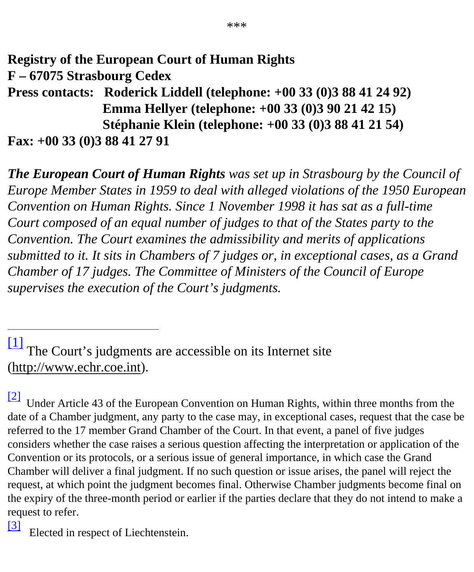**Registry of the European Court of Human Rights F – 67075 Strasbourg Cedex Press contacts: Roderick Liddell (telephone: +00 33 (0)3 88 41 24 92) Emma Hellyer (telephone: +00 33 (0)3 90 21 42 15) Stéphanie Klein (telephone: +00 33 (0)3 88 41 21 54) Fax: +00 33 (0)3 88 41 27 91**

*The European Court of Human Rights was set up in Strasbourg by the Council of Europe Member States in 1959 to deal with alleged violations of the 1950 European Convention on Human Rights. Since 1 November 1998 it has sat as a full-time Court composed of an equal number of judges to that of the States party to the Convention. The Court examines the admissibility and merits of applications submitted to it. It sits in Chambers of 7 judges or, in exceptional cases, as a Grand Chamber of 17 judges. The Committee of Ministers of the Council of Europe supervises the execution of the Court's judgments.*

<span id="page-12-0"></span> $\boxed{1}$  The Court's judgments are accessible on its Internet site (http://www.echr.coe.int).

<span id="page-12-1"></span>Under Article 43 of the European Convention on Human Rights, within three months from the date of a Chamber judgment, any party to the case may, in exceptional cases, request that the case be referred to the 17 member Grand Chamber of the Court. In that event, a panel of five judges considers whether the case raises a serious question affecting the interpretation or application of the Convention or its protocols, or a serious issue of general importance, in which case the Grand Chamber will deliver a final judgment. If no such question or issue arises, the panel will reject the request, at which point the judgment becomes final. Otherwise Chamber judgments become final on the expiry of the three-month period or earlier if the parties declare that they do not intend to make a request to refer.

<span id="page-12-3"></span><span id="page-12-2"></span>[\[3\]](#page-4-1) Elected in respect of Liechtenstein.